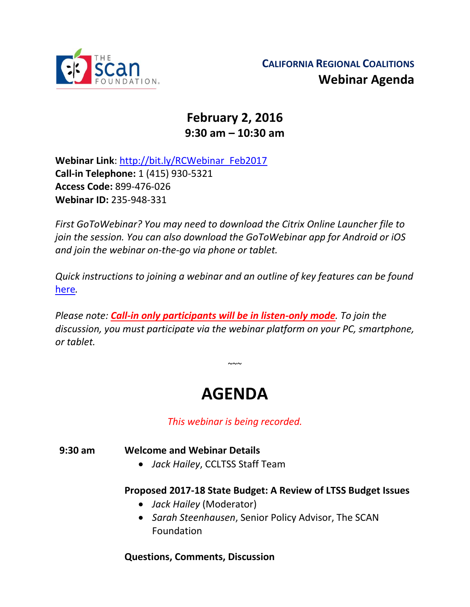

## **February 2, 2016 9:30 am – 10:30 am**

**Webinar Link**: [http://bit.ly/RCWebinar\\_Feb2017](http://bit.ly/RCWebinar_Feb2017) **Call-in Telephone:** 1 (415) 930-5321 **Access Code:** 899-476-026 **Webinar ID:** 235-948-331

*First GoToWebinar? You may need to download the Citrix Online Launcher file to join the session. You can also download the GoToWebinar app for Android or iOS and join the webinar on-the-go via phone or tablet.* 

*Quick instructions to joining a webinar and an outline of key features can be found*  [here](http://thescanfoundationsummit.homestead.com/GoToWebinar_Participant_Guide_3.pdf)*.*

*Please note: Call-in only participants will be in listen-only mode. To join the discussion, you must participate via the webinar platform on your PC, smartphone, or tablet.* 

# **AGENDA**

 $\sim$   $\sim$ 

*This webinar is being recorded.*

**9:30 am Welcome and Webinar Details**

*Jack Hailey*, CCLTSS Staff Team

#### **Proposed 2017-18 State Budget: A Review of LTSS Budget Issues**

- *Jack Hailey* (Moderator)
- *Sarah Steenhausen*, Senior Policy Advisor, The SCAN Foundation

#### **Questions, Comments, Discussion**